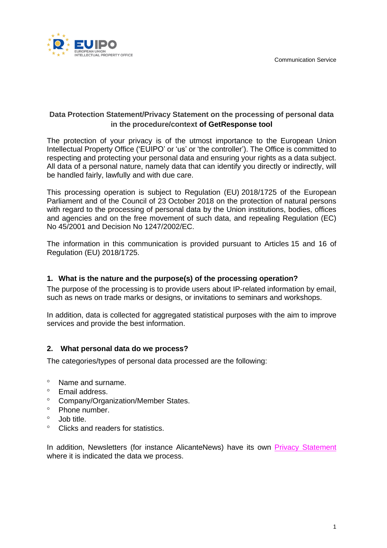

# **Data Protection Statement/Privacy Statement on the processing of personal data in the procedure/context of GetResponse tool**

The protection of your privacy is of the utmost importance to the European Union Intellectual Property Office ('EUIPO' or 'us' or 'the controller'). The Office is committed to respecting and protecting your personal data and ensuring your rights as a data subject. All data of a personal nature, namely data that can identify you directly or indirectly, will be handled fairly, lawfully and with due care.

This processing operation is subject to Regulation (EU) 2018/1725 of the European Parliament and of the Council of 23 October 2018 on the protection of natural persons with regard to the processing of personal data by the Union institutions, bodies, offices and agencies and on the free movement of such data, and repealing Regulation (EC) No 45/2001 and Decision No 1247/2002/EC.

The information in this communication is provided pursuant to Articles 15 and 16 of Regulation (EU) 2018/1725.

## **1. What is the nature and the purpose(s) of the processing operation?**

The purpose of the processing is to provide users about IP-related information by email, such as news on trade marks or designs, or invitations to seminars and workshops.

In addition, data is collected for aggregated statistical purposes with the aim to improve services and provide the best information.

## **2. What personal data do we process?**

The categories/types of personal data processed are the following:

- Name and surname.
- Email address.
- Company/Organization/Member States.
- $\degree$  Phone number.
- $\circ$  Job title.
- Clicks and readers for statistics.

In addition, Newsletters (for instance AlicanteNews) have its own Privacy [Statement](https://euipo.europa.eu/tunnel-web/secure/webdav/guest/document_library/contentPdfs/data_protection/Newsletters_en.pdf) where it is indicated the data we process.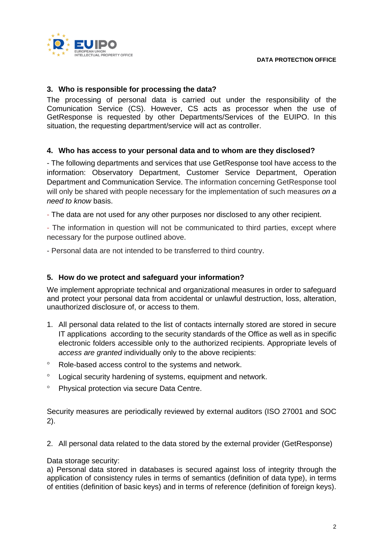

## **3. Who is responsible for processing the data?**

The processing of personal data is carried out under the responsibility of the Comunication Service (CS). However, CS acts as processor when the use of GetResponse is requested by other Departments/Services of the EUIPO. In this situation, the requesting department/service will act as controller.

## **4. Who has access to your personal data and to whom are they disclosed?**

- The following departments and services that use GetResponse tool have access to the information: Observatory Department, Customer Service Department, Operation Department and Communication Service. The information concerning GetResponse tool will only be shared with people necessary for the implementation of such measures *on a need to know* basis.

- The data are not used for any other purposes nor disclosed to any other recipient.

- The information in question will not be communicated to third parties, except where necessary for the purpose outlined above.

- Personal data are not intended to be transferred to third country.

## **5. How do we protect and safeguard your information?**

We implement appropriate technical and organizational measures in order to safeguard and protect your personal data from accidental or unlawful destruction, loss, alteration, unauthorized disclosure of, or access to them.

- 1. All personal data related to the list of contacts internally stored are stored in secure IT applications according to the security standards of the Office as well as in specific electronic folders accessible only to the authorized recipients. Appropriate levels of *access are granted* individually only to the above recipients:
- Role-based access control to the systems and network.
- Logical security hardening of systems, equipment and network.
- <sup>o</sup> Physical protection via secure Data Centre.

Security measures are periodically reviewed by external auditors (ISO 27001 and SOC 2).

2. All personal data related to the data stored by the external provider (GetResponse)

#### Data storage security:

a) Personal data stored in databases is secured against loss of integrity through the application of consistency rules in terms of semantics (definition of data type), in terms of entities (definition of basic keys) and in terms of reference (definition of foreign keys).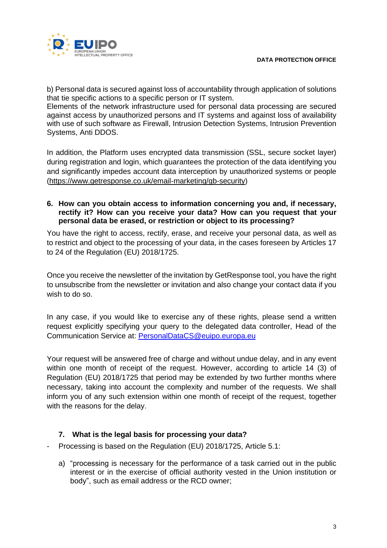

b) Personal data is secured against loss of accountability through application of solutions that tie specific actions to a specific person or IT system.

Elements of the network infrastructure used for personal data processing are secured against access by unauthorized persons and IT systems and against loss of availability with use of such software as Firewall, Intrusion Detection Systems, Intrusion Prevention Systems, Anti DDOS.

In addition, the Platform uses encrypted data transmission (SSL, secure socket layer) during registration and login, which guarantees the protection of the data identifying you and significantly impedes account data interception by unauthorized systems or people [\(https://www.getresponse.co.uk/email-marketing/gb-security\)](https://www.getresponse.co.uk/email-marketing/gb-security)

## **6. How can you obtain access to information concerning you and, if necessary, rectify it? How can you receive your data? How can you request that your personal data be erased, or restriction or object to its processing?**

You have the right to access, rectify, erase, and receive your personal data, as well as to restrict and object to the processing of your data, in the cases foreseen by Articles 17 to 24 of the Regulation (EU) 2018/1725.

Once you receive the newsletter of the invitation by GetResponse tool, you have the right to unsubscribe from the newsletter or invitation and also change your contact data if you wish to do so.

In any case, if you would like to exercise any of these rights, please send a written request explicitly specifying your query to the delegated data controller, Head of the Communication Service at: [PersonalDataCS@euipo.europa.eu](mailto:PersonalDataCS@euipo.europa.eu)

Your request will be answered free of charge and without undue delay, and in any event within one month of receipt of the request. However, according to article 14 (3) of Regulation (EU) 2018/1725 that period may be extended by two further months where necessary, taking into account the complexity and number of the requests. We shall inform you of any such extension within one month of receipt of the request, together with the reasons for the delay.

# **7. What is the legal basis for processing your data?**

- Processing is based on the Regulation (EU) 2018/1725, Article 5.1:
	- a) "processing is necessary for the performance of a task carried out in the public interest or in the exercise of official authority vested in the Union institution or body", such as email address or the RCD owner;